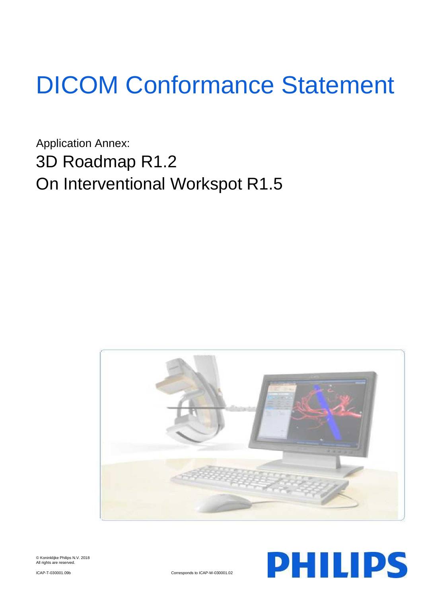# DICOM Conformance Statement

Application Annex: 3D Roadmap R1.2 On Interventional Workspot R1.5





© Koninklijke Philips N.V. 2018 All rights are reserved.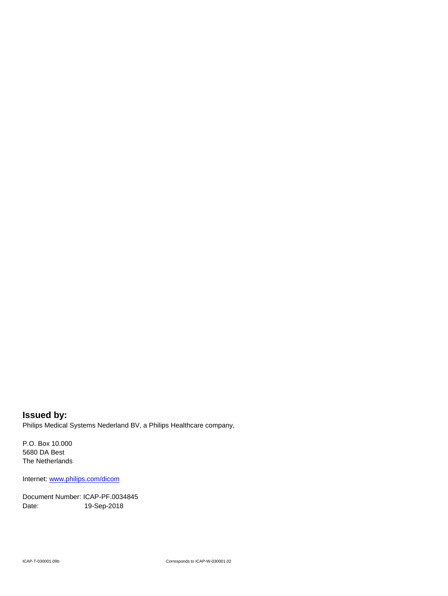**Issued by:** Philips Medical Systems Nederland BV, a Philips Healthcare company,

P.O. Box 10.000 5680 DA Best The Netherlands

Internet: www.philips.com/dicom

Document Number: ICAP-PF.0034845 Date: 19-Sep-2018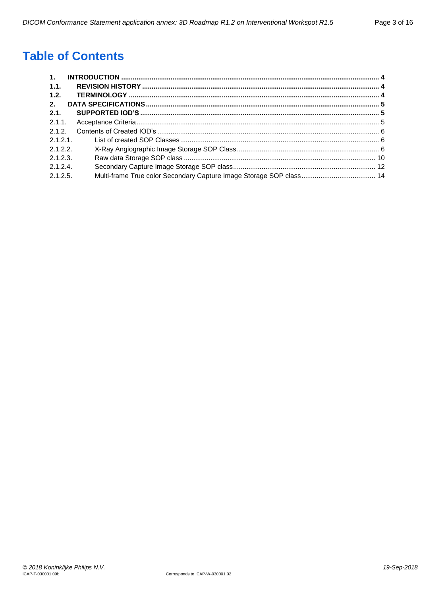# **Table of Contents**

| 1.          |  |
|-------------|--|
| $-1.1.$     |  |
| 1.2.        |  |
| 2.          |  |
| 2.1.        |  |
| 2.1.1.      |  |
| 2.1.2.      |  |
| $2.1.2.1$ . |  |
| 2.1.2.2.    |  |
| 2.1.2.3     |  |
| 2.1.2.4     |  |
| 2.1.2.5.    |  |
|             |  |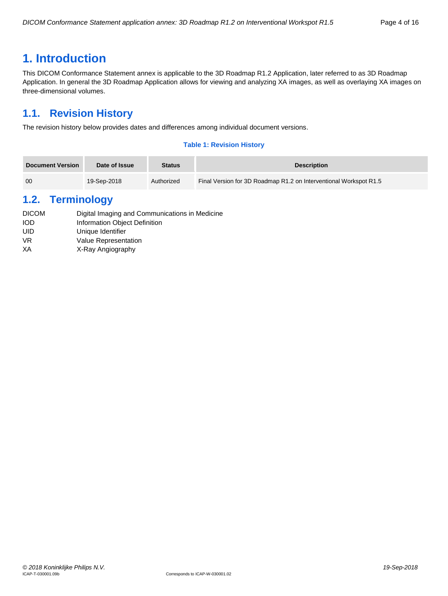# <span id="page-3-0"></span>**1. Introduction**

This DICOM Conformance Statement annex is applicable to the 3D Roadmap R1.2 Application, later referred to as 3D Roadmap Application. In general the 3D Roadmap Application allows for viewing and analyzing XA images, as well as overlaying XA images on three-dimensional volumes.

# <span id="page-3-1"></span>**1.1. Revision History**

The revision history below provides dates and differences among individual document versions.

#### **Table 1: Revision History**

| <b>Document Version</b> | Date of Issue | <b>Status</b> | <b>Description</b>                                                |
|-------------------------|---------------|---------------|-------------------------------------------------------------------|
| 00                      | 19-Sep-2018   | Authorized    | Final Version for 3D Roadmap R1.2 on Interventional Workspot R1.5 |

# <span id="page-3-2"></span>**1.2. Terminology**

| <b>DICOM</b> | Digital Imaging and Communications in Medicine |
|--------------|------------------------------------------------|
| <b>IOD</b>   | Information Object Definition                  |
| UID          | Unique Identifier                              |
| VR.          | Value Representation                           |

XA X-Ray Angiography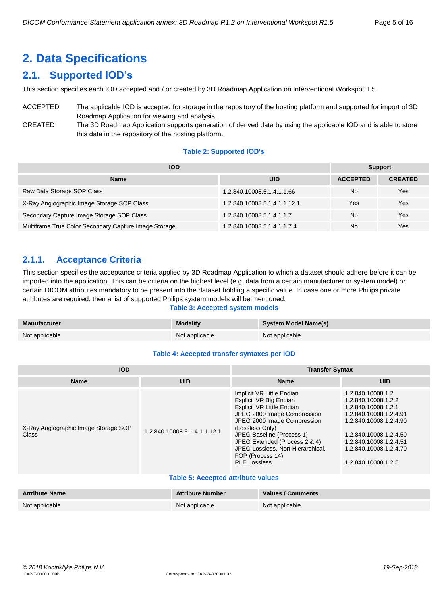# <span id="page-4-0"></span>**2. Data Specifications**

# <span id="page-4-1"></span>**2.1. Supported IOD's**

This section specifies each IOD accepted and / or created by 3D Roadmap Application on Interventional Workspot 1.5

# ACCEPTED The applicable IOD is accepted for storage in the repository of the hosting platform and supported for import of 3D Roadmap Application for viewing and analysis.

CREATED The 3D Roadmap Application supports generation of derived data by using the applicable IOD and is able to store this data in the repository of the hosting platform.

#### **Table 2: Supported IOD's**

| <b>IOD</b>                                            | Support                      |                 |                |
|-------------------------------------------------------|------------------------------|-----------------|----------------|
| <b>Name</b>                                           | UID                          | <b>ACCEPTED</b> | <b>CREATED</b> |
| Raw Data Storage SOP Class                            | 1.2.840.10008.5.1.4.1.1.66   | No              | Yes            |
| X-Ray Angiographic Image Storage SOP Class            | 1.2.840.10008.5.1.4.1.1.12.1 | Yes:            | Yes            |
| Secondary Capture Image Storage SOP Class             | 1.2.840.10008.5.1.4.1.1.7    | No              | Yes            |
| Multiframe True Color Secondary Capture Image Storage | 1.2.840.10008.5.1.4.1.1.7.4  | No              | Yes            |

# <span id="page-4-2"></span>**2.1.1. Acceptance Criteria**

This section specifies the acceptance criteria applied by 3D Roadmap Application to which a dataset should adhere before it can be imported into the application. This can be criteria on the highest level (e.g. data from a certain manufacturer or system model) or certain DICOM attributes mandatory to be present into the dataset holding a specific value. In case one or more Philips private attributes are required, then a list of supported Philips system models will be mentioned.

#### **Table 3: Accepted system models**

| Manufacturer   | <b>Modality</b> | <b>System Model Name(s)</b> |
|----------------|-----------------|-----------------------------|
| Not applicable | Not applicable  | Not applicable              |

#### **Table 4: Accepted transfer syntaxes per IOD**

| <b>IOD</b>                                    |                              | <b>Transfer Syntax</b>                                                                                                                                                                                                                                                                                         |                                                                                                                                                                                                                          |  |  |  |  |
|-----------------------------------------------|------------------------------|----------------------------------------------------------------------------------------------------------------------------------------------------------------------------------------------------------------------------------------------------------------------------------------------------------------|--------------------------------------------------------------------------------------------------------------------------------------------------------------------------------------------------------------------------|--|--|--|--|
| <b>Name</b>                                   | <b>UID</b>                   | <b>Name</b>                                                                                                                                                                                                                                                                                                    | <b>UID</b>                                                                                                                                                                                                               |  |  |  |  |
| X-Ray Angiographic Image Storage SOP<br>Class | 1.2.840.10008.5.1.4.1.1.12.1 | Implicit VR Little Endian<br>Explicit VR Big Endian<br>Explicit VR Little Endian<br>JPEG 2000 Image Compression<br>JPEG 2000 Image Compression<br>(Lossless Only)<br>JPEG Baseline (Process 1)<br>JPEG Extended (Process 2 & 4)<br>JPEG Lossless, Non-Hierarchical.<br>FOP (Process 14)<br><b>RLE Lossless</b> | 1.2.840.10008.1.2<br>1.2.840.10008.1.2.2<br>1.2.840.10008.1.2.1<br>1.2.840.10008.1.2.4.91<br>1.2.840.10008.1.2.4.90<br>1.2.840.10008.1.2.4.50<br>1.2.840.10008.1.2.4.51<br>1.2.840.10008.1.2.4.70<br>1.2.840.10008.1.2.5 |  |  |  |  |
|                                               |                              |                                                                                                                                                                                                                                                                                                                |                                                                                                                                                                                                                          |  |  |  |  |

#### **Table 5: Accepted attribute values**

| <b>Attribute Name</b> | <b>Attribute Number</b> | Values / Comments |
|-----------------------|-------------------------|-------------------|
| Not applicable        | Not applicable          | Not applicable    |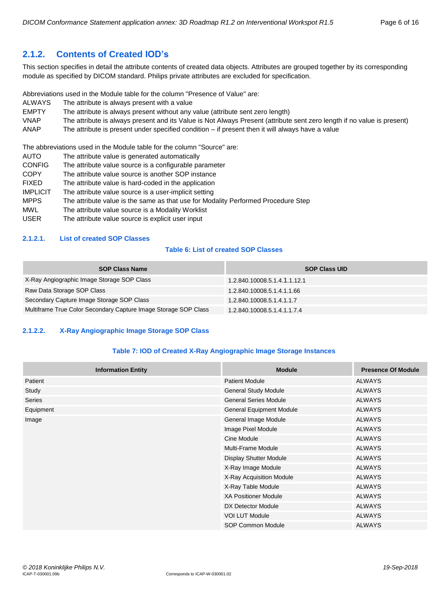# <span id="page-5-0"></span>**2.1.2. Contents of Created IOD's**

This section specifies in detail the attribute contents of created data objects. Attributes are grouped together by its corresponding module as specified by DICOM standard. Philips private attributes are excluded for specification.

Abbreviations used in the Module table for the column "Presence of Value" are:

- ALWAYS The attribute is always present with a value
- EMPTY The attribute is always present without any value (attribute sent zero length)
- VNAP The attribute is always present and its Value is Not Always Present (attribute sent zero length if no value is present)
- ANAP The attribute is present under specified condition if present then it will always have a value

The abbreviations used in the Module table for the column "Source" are:

- AUTO The attribute value is generated automatically CONFIG The attribute value source is a configurable parameter COPY The attribute value source is another SOP instance FIXED The attribute value is hard-coded in the application IMPLICIT The attribute value source is a user-implicit setting MPPS The attribute value is the same as that use for Modality Performed Procedure Step MWL The attribute value source is a Modality Worklist
- 
- USER The attribute value source is explicit user input

#### <span id="page-5-1"></span>**2.1.2.1. List of created SOP Classes**

## **Table 6: List of created SOP Classes**

| <b>SOP Class Name</b>                                           | <b>SOP Class UID</b>         |
|-----------------------------------------------------------------|------------------------------|
| X-Ray Angiographic Image Storage SOP Class                      | 1.2.840.10008.5.1.4.1.1.12.1 |
| Raw Data Storage SOP Class                                      | 1.2.840.10008.5.1.4.1.1.66   |
| Secondary Capture Image Storage SOP Class                       | 1.2.840.10008.5.1.4.1.1.7    |
| Multiframe True Color Secondary Capture Image Storage SOP Class | 1.2.840.10008.5.1.4.1.1.7.4  |

#### <span id="page-5-2"></span>**2.1.2.2. X-Ray Angiographic Image Storage SOP Class**

#### **Table 7: IOD of Created X-Ray Angiographic Image Storage Instances**

| <b>Information Entity</b> | <b>Module</b>                   | <b>Presence Of Module</b> |
|---------------------------|---------------------------------|---------------------------|
| Patient                   | <b>Patient Module</b>           | <b>ALWAYS</b>             |
| Study                     | <b>General Study Module</b>     | <b>ALWAYS</b>             |
| Series                    | <b>General Series Module</b>    | <b>ALWAYS</b>             |
| Equipment                 | <b>General Equipment Module</b> | <b>ALWAYS</b>             |
| Image                     | General Image Module            | <b>ALWAYS</b>             |
|                           | Image Pixel Module              | <b>ALWAYS</b>             |
|                           | Cine Module                     | <b>ALWAYS</b>             |
|                           | Multi-Frame Module              | <b>ALWAYS</b>             |
|                           | Display Shutter Module          | <b>ALWAYS</b>             |
|                           | X-Ray Image Module              | <b>ALWAYS</b>             |
|                           | X-Ray Acquisition Module        | <b>ALWAYS</b>             |
|                           | X-Ray Table Module              | <b>ALWAYS</b>             |
|                           | <b>XA Positioner Module</b>     | <b>ALWAYS</b>             |
|                           | DX Detector Module              | <b>ALWAYS</b>             |
|                           | <b>VOI LUT Module</b>           | <b>ALWAYS</b>             |
|                           | SOP Common Module               | <b>ALWAYS</b>             |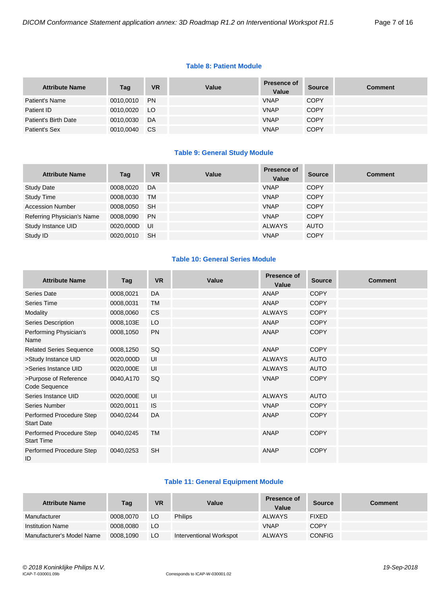#### **Table 8: Patient Module**

| <b>Attribute Name</b> | Tag       | <b>VR</b> | Value | <b>Presence of</b><br>Value | <b>Source</b> | <b>Comment</b> |
|-----------------------|-----------|-----------|-------|-----------------------------|---------------|----------------|
| Patient's Name        | 0010.0010 | <b>PN</b> |       | <b>VNAP</b>                 | <b>COPY</b>   |                |
| Patient ID            | 0010.0020 | LO        |       | <b>VNAP</b>                 | <b>COPY</b>   |                |
| Patient's Birth Date  | 0010,0030 | DA        |       | <b>VNAP</b>                 | <b>COPY</b>   |                |
| Patient's Sex         | 0010,0040 | <b>CS</b> |       | <b>VNAP</b>                 | <b>COPY</b>   |                |

#### **Table 9: General Study Module**

| <b>Attribute Name</b>      | Tag       | <b>VR</b> | Value | <b>Presence of</b><br>Value | <b>Source</b> | <b>Comment</b> |
|----------------------------|-----------|-----------|-------|-----------------------------|---------------|----------------|
| <b>Study Date</b>          | 0008,0020 | DA        |       | <b>VNAP</b>                 | <b>COPY</b>   |                |
| <b>Study Time</b>          | 0008,0030 | TM        |       | <b>VNAP</b>                 | <b>COPY</b>   |                |
| <b>Accession Number</b>    | 0008,0050 | <b>SH</b> |       | <b>VNAP</b>                 | COPY          |                |
| Referring Physician's Name | 0008.0090 | <b>PN</b> |       | <b>VNAP</b>                 | COPY          |                |
| Study Instance UID         | 0020,000D | IJI       |       | <b>ALWAYS</b>               | <b>AUTO</b>   |                |
| Study ID                   | 0020.0010 | <b>SH</b> |       | <b>VNAP</b>                 | <b>COPY</b>   |                |

#### **Table 10: General Series Module**

| <b>Attribute Name</b>                         | Tag       | <b>VR</b> | Value | <b>Presence of</b><br>Value | <b>Source</b> | <b>Comment</b> |
|-----------------------------------------------|-----------|-----------|-------|-----------------------------|---------------|----------------|
| Series Date                                   | 0008,0021 | DA        |       | ANAP                        | <b>COPY</b>   |                |
| <b>Series Time</b>                            | 0008,0031 | <b>TM</b> |       | <b>ANAP</b>                 | <b>COPY</b>   |                |
| Modality                                      | 0008,0060 | <b>CS</b> |       | <b>ALWAYS</b>               | <b>COPY</b>   |                |
| Series Description                            | 0008,103E | LO        |       | <b>ANAP</b>                 | <b>COPY</b>   |                |
| Performing Physician's<br>Name                | 0008,1050 | <b>PN</b> |       | <b>ANAP</b>                 | <b>COPY</b>   |                |
| <b>Related Series Sequence</b>                | 0008,1250 | SQ        |       | ANAP                        | <b>COPY</b>   |                |
| >Study Instance UID                           | 0020,000D | UI        |       | <b>ALWAYS</b>               | <b>AUTO</b>   |                |
| >Series Instance UID                          | 0020,000E | UI        |       | <b>ALWAYS</b>               | <b>AUTO</b>   |                |
| >Purpose of Reference<br>Code Sequence        | 0040,A170 | SQ        |       | <b>VNAP</b>                 | <b>COPY</b>   |                |
| Series Instance UID                           | 0020,000E | UI        |       | <b>ALWAYS</b>               | <b>AUTO</b>   |                |
| <b>Series Number</b>                          | 0020,0011 | <b>IS</b> |       | <b>VNAP</b>                 | <b>COPY</b>   |                |
| Performed Procedure Step<br><b>Start Date</b> | 0040,0244 | DA        |       | <b>ANAP</b>                 | <b>COPY</b>   |                |
| Performed Procedure Step<br><b>Start Time</b> | 0040,0245 | <b>TM</b> |       | <b>ANAP</b>                 | <b>COPY</b>   |                |
| Performed Procedure Step<br>ID                | 0040,0253 | <b>SH</b> |       | <b>ANAP</b>                 | <b>COPY</b>   |                |

# **Table 11: General Equipment Module**

| <b>Attribute Name</b>     | Tag       | <b>VR</b> | Value                   | Presence of<br>Value | <b>Source</b> | <b>Comment</b> |
|---------------------------|-----------|-----------|-------------------------|----------------------|---------------|----------------|
| Manufacturer              | 0008.0070 | LO        | <b>Philips</b>          | <b>ALWAYS</b>        | <b>FIXED</b>  |                |
| <b>Institution Name</b>   | 0008.0080 | LO        |                         | <b>VNAP</b>          | <b>COPY</b>   |                |
| Manufacturer's Model Name | 0008,1090 | LO        | Interventional Workspot | <b>ALWAYS</b>        | <b>CONFIG</b> |                |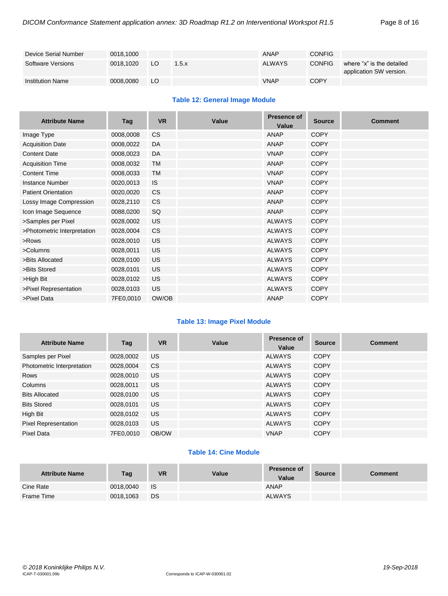| Device Serial Number    | 0018.1000 |    |       | <b>ANAP</b>   | <b>CONFIG</b> |                                                      |
|-------------------------|-----------|----|-------|---------------|---------------|------------------------------------------------------|
| Software Versions       | 0018.1020 | LO | 1.5.x | <b>ALWAYS</b> | <b>CONFIG</b> | where "x" is the detailed<br>application SW version. |
| <b>Institution Name</b> | 0008.0080 | LO |       | <b>VNAP</b>   | <b>COPY</b>   |                                                      |

# **Table 12: General Image Module**

| <b>Attribute Name</b>       | Tag       | <b>VR</b> | Value | <b>Presence of</b><br>Value | <b>Source</b> | <b>Comment</b> |
|-----------------------------|-----------|-----------|-------|-----------------------------|---------------|----------------|
| Image Type                  | 0008,0008 | <b>CS</b> |       | <b>ANAP</b>                 | <b>COPY</b>   |                |
| <b>Acquisition Date</b>     | 0008,0022 | DA        |       | <b>ANAP</b>                 | <b>COPY</b>   |                |
| <b>Content Date</b>         | 0008,0023 | DA        |       | <b>VNAP</b>                 | <b>COPY</b>   |                |
| <b>Acquisition Time</b>     | 0008,0032 | TM        |       | <b>ANAP</b>                 | <b>COPY</b>   |                |
| <b>Content Time</b>         | 0008,0033 | <b>TM</b> |       | <b>VNAP</b>                 | <b>COPY</b>   |                |
| <b>Instance Number</b>      | 0020,0013 | <b>IS</b> |       | <b>VNAP</b>                 | <b>COPY</b>   |                |
| <b>Patient Orientation</b>  | 0020,0020 | <b>CS</b> |       | <b>ANAP</b>                 | <b>COPY</b>   |                |
| Lossy Image Compression     | 0028,2110 | <b>CS</b> |       | <b>ANAP</b>                 | <b>COPY</b>   |                |
| Icon Image Sequence         | 0088,0200 | SQ        |       | <b>ANAP</b>                 | <b>COPY</b>   |                |
| >Samples per Pixel          | 0028,0002 | <b>US</b> |       | <b>ALWAYS</b>               | <b>COPY</b>   |                |
| >Photometric Interpretation | 0028,0004 | <b>CS</b> |       | <b>ALWAYS</b>               | <b>COPY</b>   |                |
| >Rows                       | 0028,0010 | <b>US</b> |       | <b>ALWAYS</b>               | <b>COPY</b>   |                |
| >Columns                    | 0028,0011 | <b>US</b> |       | <b>ALWAYS</b>               | <b>COPY</b>   |                |
| >Bits Allocated             | 0028,0100 | US.       |       | <b>ALWAYS</b>               | <b>COPY</b>   |                |
| >Bits Stored                | 0028,0101 | US        |       | <b>ALWAYS</b>               | <b>COPY</b>   |                |
| >High Bit                   | 0028,0102 | <b>US</b> |       | <b>ALWAYS</b>               | <b>COPY</b>   |                |
| >Pixel Representation       | 0028,0103 | <b>US</b> |       | <b>ALWAYS</b>               | <b>COPY</b>   |                |
| >Pixel Data                 | 7FE0,0010 | OW/OB     |       | <b>ANAP</b>                 | <b>COPY</b>   |                |

#### **Table 13: Image Pixel Module**

| <b>Attribute Name</b>      | Tag       | <b>VR</b> | Value | Presence of<br>Value | <b>Source</b> | <b>Comment</b> |
|----------------------------|-----------|-----------|-------|----------------------|---------------|----------------|
| Samples per Pixel          | 0028,0002 | US        |       | <b>ALWAYS</b>        | <b>COPY</b>   |                |
| Photometric Interpretation | 0028,0004 | <b>CS</b> |       | <b>ALWAYS</b>        | <b>COPY</b>   |                |
| <b>Rows</b>                | 0028.0010 | US        |       | <b>ALWAYS</b>        | <b>COPY</b>   |                |
| Columns                    | 0028.0011 | <b>US</b> |       | <b>ALWAYS</b>        | <b>COPY</b>   |                |
| <b>Bits Allocated</b>      | 0028.0100 | US        |       | <b>ALWAYS</b>        | <b>COPY</b>   |                |
| <b>Bits Stored</b>         | 0028,0101 | US        |       | <b>ALWAYS</b>        | <b>COPY</b>   |                |
| High Bit                   | 0028,0102 | US        |       | <b>ALWAYS</b>        | <b>COPY</b>   |                |
| Pixel Representation       | 0028,0103 | <b>US</b> |       | <b>ALWAYS</b>        | <b>COPY</b>   |                |
| Pixel Data                 | 7FE0,0010 | OB/OW     |       | <b>VNAP</b>          | <b>COPY</b>   |                |

# **Table 14: Cine Module**

| <b>Attribute Name</b> | Tag       | VR   | Value | <b>Presence of</b><br>Value | <b>Source</b> | Comment |
|-----------------------|-----------|------|-------|-----------------------------|---------------|---------|
| Cine Rate             | 0018.0040 | - IS |       | <b>ANAP</b>                 |               |         |
| Frame Time            | 0018,1063 | DS   |       | <b>ALWAYS</b>               |               |         |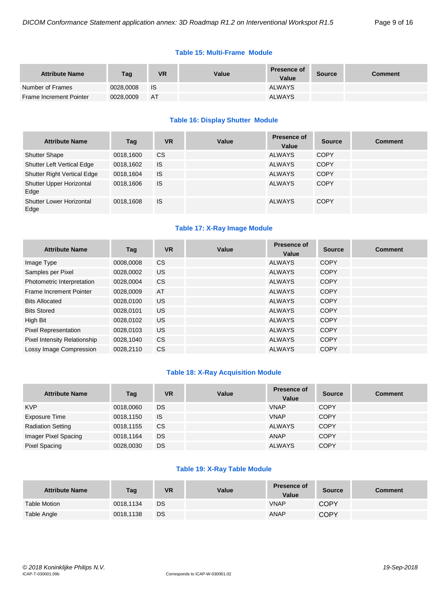| <b>Attribute Name</b>   | Tag       | <b>VR</b> | Value | <b>Presence of</b><br>Value | <b>Source</b> | <b>Comment</b> |
|-------------------------|-----------|-----------|-------|-----------------------------|---------------|----------------|
| Number of Frames        | 0028,0008 | - IS      |       | <b>ALWAYS</b>               |               |                |
| Frame Increment Pointer | 0028.0009 | AT        |       | <b>ALWAYS</b>               |               |                |

# **Table 16: Display Shutter Module**

| <b>Attribute Name</b>                   | Tag       | <b>VR</b>     | Value | Presence of<br>Value | <b>Source</b> | <b>Comment</b> |
|-----------------------------------------|-----------|---------------|-------|----------------------|---------------|----------------|
| <b>Shutter Shape</b>                    | 0018,1600 | <sub>CS</sub> |       | <b>ALWAYS</b>        | <b>COPY</b>   |                |
| Shutter Left Vertical Edge              | 0018,1602 | IS            |       | <b>ALWAYS</b>        | <b>COPY</b>   |                |
| Shutter Right Vertical Edge             | 0018,1604 | IS            |       | <b>ALWAYS</b>        | <b>COPY</b>   |                |
| Shutter Upper Horizontal<br>Edge        | 0018.1606 | IS            |       | <b>ALWAYS</b>        | <b>COPY</b>   |                |
| <b>Shutter Lower Horizontal</b><br>Edge | 0018.1608 | IS            |       | <b>ALWAYS</b>        | <b>COPY</b>   |                |

# **Table 17: X-Ray Image Module**

| <b>Attribute Name</b>          | Tag       | <b>VR</b>      | Value | <b>Presence of</b><br>Value | <b>Source</b> | <b>Comment</b> |
|--------------------------------|-----------|----------------|-------|-----------------------------|---------------|----------------|
| Image Type                     | 0008,0008 | CS             |       | <b>ALWAYS</b>               | COPY          |                |
| Samples per Pixel              | 0028,0002 | US.            |       | ALWAYS                      | <b>COPY</b>   |                |
| Photometric Interpretation     | 0028.0004 | C <sub>S</sub> |       | ALWAYS                      | COPY          |                |
| <b>Frame Increment Pointer</b> | 0028,0009 | AT             |       | ALWAYS                      | COPY          |                |
| <b>Bits Allocated</b>          | 0028.0100 | US.            |       | <b>ALWAYS</b>               | <b>COPY</b>   |                |
| <b>Bits Stored</b>             | 0028.0101 | US.            |       | <b>ALWAYS</b>               | <b>COPY</b>   |                |
| High Bit                       | 0028,0102 | US.            |       | ALWAYS                      | COPY          |                |
| <b>Pixel Representation</b>    | 0028,0103 | US.            |       | ALWAYS                      | COPY          |                |
| Pixel Intensity Relationship   | 0028,1040 | CS             |       | ALWAYS                      | <b>COPY</b>   |                |
| Lossy Image Compression        | 0028.2110 | <b>CS</b>      |       | <b>ALWAYS</b>               | <b>COPY</b>   |                |

#### **Table 18: X-Ray Acquisition Module**

| <b>Attribute Name</b>    | Tag       | <b>VR</b> | Value | <b>Presence of</b><br>Value | <b>Source</b> | <b>Comment</b> |
|--------------------------|-----------|-----------|-------|-----------------------------|---------------|----------------|
| <b>KVP</b>               | 0018,0060 | DS        |       | <b>VNAP</b>                 | <b>COPY</b>   |                |
| Exposure Time            | 0018,1150 | <b>IS</b> |       | <b>VNAP</b>                 | <b>COPY</b>   |                |
| <b>Radiation Setting</b> | 0018,1155 | <b>CS</b> |       | ALWAYS                      | <b>COPY</b>   |                |
| Imager Pixel Spacing     | 0018.1164 | DS        |       | ANAP                        | <b>COPY</b>   |                |
| Pixel Spacing            | 0028,0030 | DS        |       | <b>ALWAYS</b>               | <b>COPY</b>   |                |

#### **Table 19: X-Ray Table Module**

| <b>Attribute Name</b> | Tag       | <b>VR</b> | Value | <b>Presence of</b><br>Value | <b>Source</b> | <b>Comment</b> |
|-----------------------|-----------|-----------|-------|-----------------------------|---------------|----------------|
| Table Motion          | 0018.1134 | DS        |       | <b>VNAP</b>                 | COPY          |                |
| Table Angle           | 0018.1138 | DS        |       | <b>ANAP</b>                 | COPY          |                |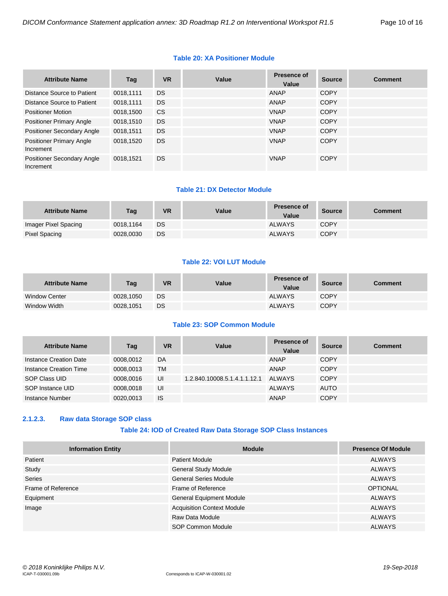#### **Table 20: XA Positioner Module**

| <b>Attribute Name</b>                        | Tag       | <b>VR</b> | Value | Presence of<br>Value | <b>Source</b> | <b>Comment</b> |
|----------------------------------------------|-----------|-----------|-------|----------------------|---------------|----------------|
| Distance Source to Patient                   | 0018.1111 | <b>DS</b> |       | ANAP                 | COPY          |                |
| Distance Source to Patient                   | 0018,1111 | <b>DS</b> |       | ANAP                 | <b>COPY</b>   |                |
| <b>Positioner Motion</b>                     | 0018,1500 | <b>CS</b> |       | <b>VNAP</b>          | COPY          |                |
| <b>Positioner Primary Angle</b>              | 0018,1510 | <b>DS</b> |       | <b>VNAP</b>          | <b>COPY</b>   |                |
| <b>Positioner Secondary Angle</b>            | 0018,1511 | <b>DS</b> |       | <b>VNAP</b>          | COPY          |                |
| <b>Positioner Primary Angle</b><br>Increment | 0018.1520 | <b>DS</b> |       | <b>VNAP</b>          | <b>COPY</b>   |                |
| Positioner Secondary Angle<br>Increment      | 0018,1521 | <b>DS</b> |       | <b>VNAP</b>          | <b>COPY</b>   |                |

#### **Table 21: DX Detector Module**

| <b>Attribute Name</b> | Tag       | <b>VR</b> | Value | <b>Presence of</b><br>Value | <b>Source</b> | <b>Comment</b> |
|-----------------------|-----------|-----------|-------|-----------------------------|---------------|----------------|
| Imager Pixel Spacing  | 0018.1164 | <b>DS</b> |       | <b>ALWAYS</b>               | <b>COPY</b>   |                |
| Pixel Spacing         | 0028,0030 | DS        |       | <b>ALWAYS</b>               | <b>COPY</b>   |                |

#### **Table 22: VOI LUT Module**

| <b>Attribute Name</b> | Tag       | <b>VR</b> | Value | <b>Presence of</b><br>Value | <b>Source</b> | <b>Comment</b> |
|-----------------------|-----------|-----------|-------|-----------------------------|---------------|----------------|
| <b>Window Center</b>  | 0028.1050 | DS.       |       | <b>ALWAYS</b>               | <b>COPY</b>   |                |
| Window Width          | 0028,1051 | DS        |       | <b>ALWAYS</b>               | <b>COPY</b>   |                |

# **Table 23: SOP Common Module**

| <b>Attribute Name</b>  | Tag       | VR        | Value                        | Presence of<br>Value | <b>Source</b> | <b>Comment</b> |
|------------------------|-----------|-----------|------------------------------|----------------------|---------------|----------------|
| Instance Creation Date | 0008.0012 | DA        |                              | ANAP                 | <b>COPY</b>   |                |
| Instance Creation Time | 0008.0013 | <b>TM</b> |                              | <b>ANAP</b>          | <b>COPY</b>   |                |
| SOP Class UID          | 0008.0016 | UI        | 1.2.840.10008.5.1.4.1.1.12.1 | ALWAYS               | <b>COPY</b>   |                |
| SOP Instance UID       | 0008.0018 | UI        |                              | <b>ALWAYS</b>        | <b>AUTO</b>   |                |
| Instance Number        | 0020.0013 | <b>IS</b> |                              | <b>ANAP</b>          | <b>COPY</b>   |                |

# <span id="page-9-0"></span>**2.1.2.3. Raw data Storage SOP class**

#### **Table 24: IOD of Created Raw Data Storage SOP Class Instances**

| <b>Information Entity</b> | <b>Module</b>                     | <b>Presence Of Module</b> |
|---------------------------|-----------------------------------|---------------------------|
| Patient                   | <b>Patient Module</b>             | <b>ALWAYS</b>             |
| Study                     | <b>General Study Module</b>       | <b>ALWAYS</b>             |
| <b>Series</b>             | <b>General Series Module</b>      | <b>ALWAYS</b>             |
| Frame of Reference        | Frame of Reference                | <b>OPTIONAL</b>           |
| Equipment                 | <b>General Equipment Module</b>   | <b>ALWAYS</b>             |
| Image                     | <b>Acquisition Context Module</b> | <b>ALWAYS</b>             |
|                           | Raw Data Module                   | <b>ALWAYS</b>             |
|                           | SOP Common Module                 | <b>ALWAYS</b>             |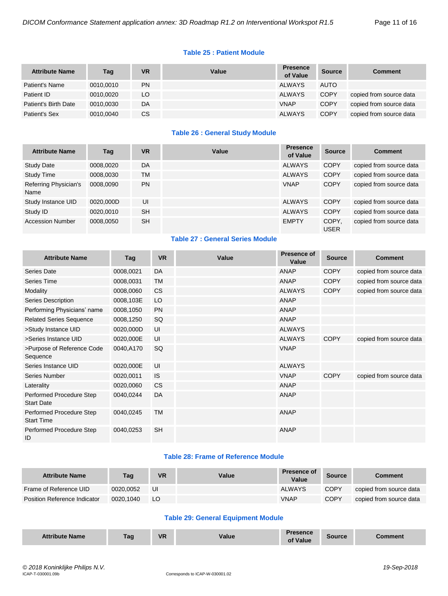#### **Table 25 : Patient Module**

| <b>Attribute Name</b> | Tag       | <b>VR</b> | Value | <b>Presence</b><br>of Value | <b>Source</b> | <b>Comment</b>          |
|-----------------------|-----------|-----------|-------|-----------------------------|---------------|-------------------------|
| Patient's Name        | 0010.0010 | PN        |       | ALWAYS                      | <b>AUTO</b>   |                         |
| Patient ID            | 0010.0020 | LO        |       | ALWAYS                      | <b>COPY</b>   | copied from source data |
| Patient's Birth Date  | 0010.0030 | DA        |       | <b>VNAP</b>                 | <b>COPY</b>   | copied from source data |
| Patient's Sex         | 0010.0040 | СS        |       | <b>ALWAYS</b>               | <b>COPY</b>   | copied from source data |

#### **Table 26 : General Study Module**

| <b>Attribute Name</b>         | Tag       | <b>VR</b> | Value | <b>Presence</b><br>of Value | <b>Source</b>        | <b>Comment</b>          |
|-------------------------------|-----------|-----------|-------|-----------------------------|----------------------|-------------------------|
| <b>Study Date</b>             | 0008,0020 | DA        |       | <b>ALWAYS</b>               | <b>COPY</b>          | copied from source data |
| <b>Study Time</b>             | 0008,0030 | TM        |       | <b>ALWAYS</b>               | <b>COPY</b>          | copied from source data |
| Referring Physician's<br>Name | 0008.0090 | <b>PN</b> |       | <b>VNAP</b>                 | <b>COPY</b>          | copied from source data |
| Study Instance UID            | 0020.000D | UI        |       | <b>ALWAYS</b>               | <b>COPY</b>          | copied from source data |
| Study ID                      | 0020.0010 | <b>SH</b> |       | <b>ALWAYS</b>               | <b>COPY</b>          | copied from source data |
| <b>Accession Number</b>       | 0008,0050 | <b>SH</b> |       | <b>EMPTY</b>                | COPY.<br><b>USER</b> | copied from source data |

#### **Table 27 : General Series Module**

| <b>Attribute Name</b>                         | <b>Tag</b> | <b>VR</b>      | Value | <b>Presence of</b><br>Value | <b>Source</b> | <b>Comment</b>          |
|-----------------------------------------------|------------|----------------|-------|-----------------------------|---------------|-------------------------|
| Series Date                                   | 0008,0021  | DA             |       | <b>ANAP</b>                 | <b>COPY</b>   | copied from source data |
| Series Time                                   | 0008,0031  | <b>TM</b>      |       | <b>ANAP</b>                 | <b>COPY</b>   | copied from source data |
| Modality                                      | 0008,0060  | C <sub>S</sub> |       | <b>ALWAYS</b>               | <b>COPY</b>   | copied from source data |
| Series Description                            | 0008,103E  | LO             |       | <b>ANAP</b>                 |               |                         |
| Performing Physicians' name                   | 0008,1050  | <b>PN</b>      |       | <b>ANAP</b>                 |               |                         |
| <b>Related Series Sequence</b>                | 0008,1250  | SQ             |       | <b>ANAP</b>                 |               |                         |
| >Study Instance UID                           | 0020,000D  | UI             |       | <b>ALWAYS</b>               |               |                         |
| >Series Instance UID                          | 0020,000E  | UI             |       | <b>ALWAYS</b>               | <b>COPY</b>   | copied from source data |
| >Purpose of Reference Code<br>Sequence        | 0040,A170  | SQ             |       | <b>VNAP</b>                 |               |                         |
| Series Instance UID                           | 0020,000E  | UI             |       | <b>ALWAYS</b>               |               |                         |
| Series Number                                 | 0020,0011  | <b>IS</b>      |       | <b>VNAP</b>                 | <b>COPY</b>   | copied from source data |
| Laterality                                    | 0020,0060  | <b>CS</b>      |       | <b>ANAP</b>                 |               |                         |
| Performed Procedure Step<br><b>Start Date</b> | 0040,0244  | DA             |       | <b>ANAP</b>                 |               |                         |
| Performed Procedure Step<br><b>Start Time</b> | 0040,0245  | TM             |       | <b>ANAP</b>                 |               |                         |
| Performed Procedure Step<br>ID                | 0040,0253  | <b>SH</b>      |       | <b>ANAP</b>                 |               |                         |

#### **Table 28: Frame of Reference Module**

| <b>Attribute Name</b>        | Tag       | VR | Value | <b>Presence of</b><br>Value | <b>Source</b> | Comment                 |
|------------------------------|-----------|----|-------|-----------------------------|---------------|-------------------------|
| Frame of Reference UID       | 0020.0052 | UI |       | <b>ALWAYS</b>               | <b>COPY</b>   | copied from source data |
| Position Reference Indicator | 0020.1040 | LO |       | <b>VNAP</b>                 | <b>COPY</b>   | copied from source data |

# **Table 29: General Equipment Module**

| <b>Attribute Name</b> | Tag | <b>VR</b> | Value | resence<br><b>f</b> Value | <b>Source</b> | `omment |
|-----------------------|-----|-----------|-------|---------------------------|---------------|---------|
|-----------------------|-----|-----------|-------|---------------------------|---------------|---------|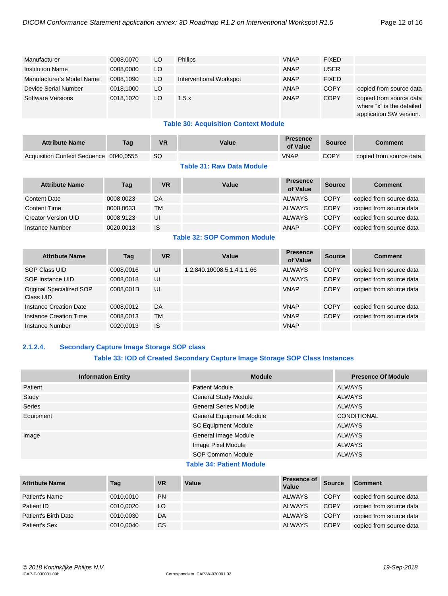| Manufacturer              | 0008.0070 | LO. | <b>Philips</b>          | <b>VNAP</b> | <b>FIXED</b> |                                                                                 |
|---------------------------|-----------|-----|-------------------------|-------------|--------------|---------------------------------------------------------------------------------|
| <b>Institution Name</b>   | 0008.0080 | LO  |                         | ANAP        | <b>USER</b>  |                                                                                 |
| Manufacturer's Model Name | 0008.1090 | LO. | Interventional Workspot | <b>ANAP</b> | <b>FIXED</b> |                                                                                 |
| Device Serial Number      | 0018.1000 | LO  |                         | <b>ANAP</b> | <b>COPY</b>  | copied from source data                                                         |
| Software Versions         | 0018.1020 | LO  | 1.5.x                   | <b>ANAP</b> | <b>COPY</b>  | copied from source data<br>where "x" is the detailed<br>application SW version. |

# **Table 30: Acquisition Context Module**

| <b>Attribute Name</b>                  | Taq | <b>VR</b> | Value | <b>Presence</b><br>of Value | Source | Comment                 |
|----------------------------------------|-----|-----------|-------|-----------------------------|--------|-------------------------|
| Acquisition Context Sequence 0040.0555 |     | SQ        |       | <b>VNAP</b>                 | COPY   | copied from source data |

# **Table 31: Raw Data Module**

| <b>Attribute Name</b> | Tag       | <b>VR</b> | Value | <b>Presence</b><br>of Value | <b>Source</b> | <b>Comment</b>          |
|-----------------------|-----------|-----------|-------|-----------------------------|---------------|-------------------------|
| Content Date          | 0008,0023 | DA        |       | <b>ALWAYS</b>               | <b>COPY</b>   | copied from source data |
| Content Time          | 0008,0033 | <b>TM</b> |       | <b>ALWAYS</b>               | <b>COPY</b>   | copied from source data |
| Creator Version UID   | 0008.9123 | UI        |       | <b>ALWAYS</b>               | <b>COPY</b>   | copied from source data |
| Instance Number       | 0020.0013 | <b>IS</b> |       | <b>ANAP</b>                 | <b>COPY</b>   | copied from source data |

# **Table 32: SOP Common Module**

| <b>Attribute Name</b>                 | Tag       | VR        | Value                      | <b>Presence</b><br>of Value | <b>Source</b> | <b>Comment</b>          |
|---------------------------------------|-----------|-----------|----------------------------|-----------------------------|---------------|-------------------------|
| SOP Class UID                         | 0008.0016 | UI        | 1.2.840.10008.5.1.4.1.1.66 | <b>ALWAYS</b>               | <b>COPY</b>   | copied from source data |
| SOP Instance UID                      | 0008,0018 | UI        |                            | <b>ALWAYS</b>               | <b>COPY</b>   | copied from source data |
| Original Specialized SOP<br>Class UID | 0008.001B | UI        |                            | <b>VNAP</b>                 | <b>COPY</b>   | copied from source data |
| Instance Creation Date                | 0008,0012 | DA        |                            | <b>VNAP</b>                 | <b>COPY</b>   | copied from source data |
| Instance Creation Time                | 0008,0013 | <b>TM</b> |                            | <b>VNAP</b>                 | <b>COPY</b>   | copied from source data |
| Instance Number                       | 0020.0013 | <b>IS</b> |                            | <b>VNAP</b>                 |               |                         |

# <span id="page-11-0"></span>**2.1.2.4. Secondary Capture Image Storage SOP class**

#### **Table 33: IOD of Created Secondary Capture Image Storage SOP Class Instances**

| <b>Information Entity</b> | <b>Module</b>                   | <b>Presence Of Module</b> |
|---------------------------|---------------------------------|---------------------------|
| Patient                   | <b>Patient Module</b>           | <b>ALWAYS</b>             |
| Study                     | <b>General Study Module</b>     | <b>ALWAYS</b>             |
| Series                    | <b>General Series Module</b>    | <b>ALWAYS</b>             |
| Equipment                 | <b>General Equipment Module</b> | <b>CONDITIONAL</b>        |
|                           | <b>SC Equipment Module</b>      | <b>ALWAYS</b>             |
| Image                     | General Image Module            | <b>ALWAYS</b>             |
|                           | Image Pixel Module              | <b>ALWAYS</b>             |
|                           | SOP Common Module               | <b>ALWAYS</b>             |
|                           |                                 |                           |

# **Table 34: Patient Module**

| <b>Attribute Name</b> | Tag       | <b>VR</b> | Value | <b>Presence of</b><br>Value | <b>Source</b> | <b>Comment</b>          |
|-----------------------|-----------|-----------|-------|-----------------------------|---------------|-------------------------|
| Patient's Name        | 0010.0010 | <b>PN</b> |       | <b>ALWAYS</b>               | <b>COPY</b>   | copied from source data |
| Patient ID            | 0010.0020 | LO        |       | <b>ALWAYS</b>               | <b>COPY</b>   | copied from source data |
| Patient's Birth Date  | 0010,0030 | DA        |       | <b>ALWAYS</b>               | <b>COPY</b>   | copied from source data |
| Patient's Sex         | 0010,0040 | CS.       |       | <b>ALWAYS</b>               | <b>COPY</b>   | copied from source data |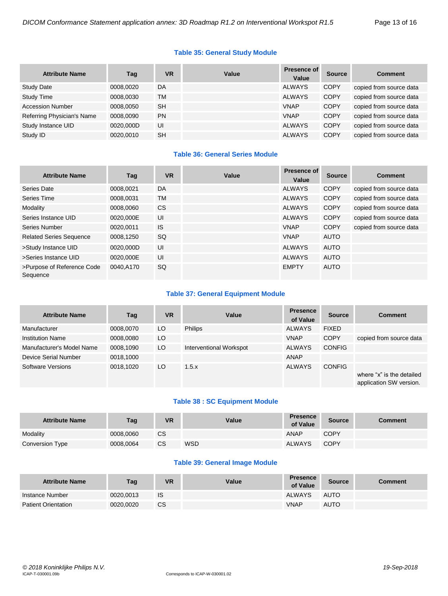#### **Table 35: General Study Module**

| <b>Attribute Name</b>      | Tag       | <b>VR</b> | Value | <b>Presence of</b><br>Value | <b>Source</b> | <b>Comment</b>          |
|----------------------------|-----------|-----------|-------|-----------------------------|---------------|-------------------------|
| <b>Study Date</b>          | 0008.0020 | DA        |       | <b>ALWAYS</b>               | <b>COPY</b>   | copied from source data |
| <b>Study Time</b>          | 0008,0030 | <b>TM</b> |       | <b>ALWAYS</b>               | <b>COPY</b>   | copied from source data |
| <b>Accession Number</b>    | 0008.0050 | <b>SH</b> |       | <b>VNAP</b>                 | <b>COPY</b>   | copied from source data |
| Referring Physician's Name | 0008.0090 | <b>PN</b> |       | <b>VNAP</b>                 | <b>COPY</b>   | copied from source data |
| Study Instance UID         | 0020.000D | UI        |       | <b>ALWAYS</b>               | <b>COPY</b>   | copied from source data |
| Study ID                   | 0020.0010 | <b>SH</b> |       | <b>ALWAYS</b>               | <b>COPY</b>   | copied from source data |

# **Table 36: General Series Module**

| <b>Attribute Name</b>                  | Tag       | <b>VR</b> | Value | Presence of<br>Value | <b>Source</b> | <b>Comment</b>          |
|----------------------------------------|-----------|-----------|-------|----------------------|---------------|-------------------------|
| Series Date                            | 0008.0021 | DA        |       | <b>ALWAYS</b>        | <b>COPY</b>   | copied from source data |
| Series Time                            | 0008.0031 | TM        |       | <b>ALWAYS</b>        | <b>COPY</b>   | copied from source data |
| Modality                               | 0008,0060 | <b>CS</b> |       | <b>ALWAYS</b>        | <b>COPY</b>   | copied from source data |
| Series Instance UID                    | 0020.000E | UI        |       | <b>ALWAYS</b>        | <b>COPY</b>   | copied from source data |
| Series Number                          | 0020.0011 | <b>IS</b> |       | <b>VNAP</b>          | <b>COPY</b>   | copied from source data |
| <b>Related Series Sequence</b>         | 0008.1250 | SQ.       |       | <b>VNAP</b>          | AUTO          |                         |
| >Study Instance UID                    | 0020.000D | UI        |       | <b>ALWAYS</b>        | <b>AUTO</b>   |                         |
| >Series Instance UID                   | 0020.000E | UI        |       | <b>ALWAYS</b>        | <b>AUTO</b>   |                         |
| >Purpose of Reference Code<br>Sequence | 0040.A170 | SQ.       |       | <b>EMPTY</b>         | <b>AUTO</b>   |                         |

# **Table 37: General Equipment Module**

| <b>Attribute Name</b>     | Tag       | <b>VR</b> | Value                   | <b>Presence</b><br>of Value | <b>Source</b> | <b>Comment</b>                                       |
|---------------------------|-----------|-----------|-------------------------|-----------------------------|---------------|------------------------------------------------------|
| Manufacturer              | 0008,0070 | LO        | <b>Philips</b>          | <b>ALWAYS</b>               | <b>FIXED</b>  |                                                      |
| <b>Institution Name</b>   | 0008.0080 | LO        |                         | <b>VNAP</b>                 | <b>COPY</b>   | copied from source data                              |
| Manufacturer's Model Name | 0008.1090 | LO        | Interventional Workspot | <b>ALWAYS</b>               | <b>CONFIG</b> |                                                      |
| Device Serial Number      | 0018.1000 |           |                         | ANAP                        |               |                                                      |
| Software Versions         | 0018,1020 | LO        | 1.5.x                   | <b>ALWAYS</b>               | <b>CONFIG</b> | where "x" is the detailed<br>application SW version. |

# **Table 38 : SC Equipment Module**

| <b>Attribute Name</b> | Tag       | VR        | Value      | <b>Presence</b><br>of Value | <b>Source</b> | <b>Comment</b> |
|-----------------------|-----------|-----------|------------|-----------------------------|---------------|----------------|
| Modality              | 0008.0060 | <b>CS</b> |            | <b>ANAP</b>                 | <b>COPY</b>   |                |
| Conversion Type       | 0008.0064 | СS        | <b>WSD</b> | <b>ALWAYS</b>               | <b>COPY</b>   |                |

#### **Table 39: General Image Module**

| <b>Attribute Name</b>      | Tag       | VR        | Value | <b>Presence</b><br>of Value | <b>Source</b> | <b>Comment</b> |
|----------------------------|-----------|-----------|-------|-----------------------------|---------------|----------------|
| Instance Number            | 0020.0013 | <b>IS</b> |       | ALWAYS                      | <b>AUTO</b>   |                |
| <b>Patient Orientation</b> | 0020,0020 | <b>CS</b> |       | <b>VNAP</b>                 | <b>AUTO</b>   |                |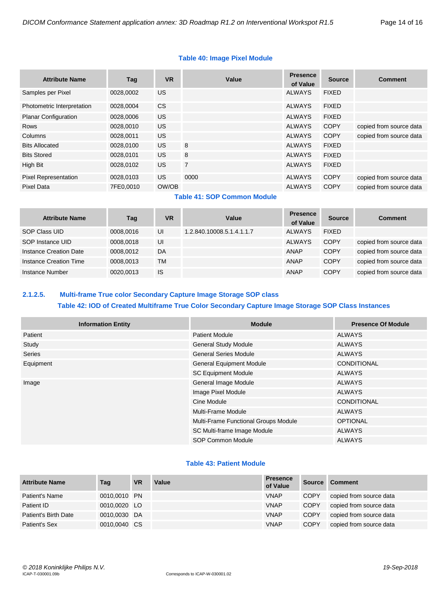#### **Table 40: Image Pixel Module**

| <b>Attribute Name</b>       | Tag       | <b>VR</b> | Value          | <b>Presence</b><br>of Value | <b>Source</b> | <b>Comment</b>          |
|-----------------------------|-----------|-----------|----------------|-----------------------------|---------------|-------------------------|
| Samples per Pixel           | 0028.0002 | US        |                | <b>ALWAYS</b>               | <b>FIXED</b>  |                         |
| Photometric Interpretation  | 0028,0004 | <b>CS</b> |                | <b>ALWAYS</b>               | <b>FIXED</b>  |                         |
| <b>Planar Configuration</b> | 0028,0006 | <b>US</b> |                | <b>ALWAYS</b>               | <b>FIXED</b>  |                         |
| Rows                        | 0028,0010 | <b>US</b> |                | <b>ALWAYS</b>               | <b>COPY</b>   | copied from source data |
| Columns                     | 0028.0011 | <b>US</b> |                | <b>ALWAYS</b>               | <b>COPY</b>   | copied from source data |
| <b>Bits Allocated</b>       | 0028.0100 | <b>US</b> | 8              | <b>ALWAYS</b>               | <b>FIXED</b>  |                         |
| <b>Bits Stored</b>          | 0028.0101 | <b>US</b> | 8              | <b>ALWAYS</b>               | <b>FIXED</b>  |                         |
| High Bit                    | 0028.0102 | <b>US</b> | $\overline{7}$ | <b>ALWAYS</b>               | <b>FIXED</b>  |                         |
| <b>Pixel Representation</b> | 0028.0103 | <b>US</b> | 0000           | <b>ALWAYS</b>               | <b>COPY</b>   | copied from source data |
| Pixel Data                  | 7FE0,0010 | OW/OB     |                | <b>ALWAYS</b>               | <b>COPY</b>   | copied from source data |

#### **Table 41: SOP Common Module**

| <b>Attribute Name</b>  | Tag       | <b>VR</b> | Value                     | <b>Presence</b><br>of Value | <b>Source</b> | <b>Comment</b>          |
|------------------------|-----------|-----------|---------------------------|-----------------------------|---------------|-------------------------|
| SOP Class UID          | 0008.0016 | UI        | 1.2.840.10008.5.1.4.1.1.7 | ALWAYS                      | <b>FIXED</b>  |                         |
| SOP Instance UID       | 0008.0018 | UI        |                           | ALWAYS                      | <b>COPY</b>   | copied from source data |
| Instance Creation Date | 0008.0012 | DA        |                           | ANAP                        | <b>COPY</b>   | copied from source data |
| Instance Creation Time | 0008.0013 | <b>TM</b> |                           | ANAP                        | <b>COPY</b>   | copied from source data |
| Instance Number        | 0020.0013 | IS        |                           | ANAP                        | <b>COPY</b>   | copied from source data |

# <span id="page-13-0"></span>**2.1.2.5. Multi-frame True color Secondary Capture Image Storage SOP class Table 42: IOD of Created Multiframe True Color Secondary Capture Image Storage SOP Class Instances**

| <b>Information Entity</b> | <b>Module</b>                        | <b>Presence Of Module</b> |
|---------------------------|--------------------------------------|---------------------------|
| Patient                   | <b>Patient Module</b>                | ALWAYS                    |
| Study                     | <b>General Study Module</b>          | <b>ALWAYS</b>             |
| Series                    | <b>General Series Module</b>         | <b>ALWAYS</b>             |
| Equipment                 | <b>General Equipment Module</b>      | <b>CONDITIONAL</b>        |
|                           | <b>SC Equipment Module</b>           | <b>ALWAYS</b>             |
| Image                     | General Image Module                 | <b>ALWAYS</b>             |
|                           | Image Pixel Module                   | <b>ALWAYS</b>             |
|                           | Cine Module                          | <b>CONDITIONAL</b>        |
|                           | Multi-Frame Module                   | <b>ALWAYS</b>             |
|                           | Multi-Frame Functional Groups Module | <b>OPTIONAL</b>           |
|                           | SC Multi-frame Image Module          | <b>ALWAYS</b>             |
|                           | <b>SOP Common Module</b>             | <b>ALWAYS</b>             |

#### **Table 43: Patient Module**

| <b>Attribute Name</b> | Tag          | <b>VR</b> | Value | <b>Presence</b><br>of Value | <b>Source</b> | <b>Comment</b>          |
|-----------------------|--------------|-----------|-------|-----------------------------|---------------|-------------------------|
| Patient's Name        | 0010,0010 PN |           |       | <b>VNAP</b>                 | <b>COPY</b>   | copied from source data |
| Patient ID            | 0010,0020 LO |           |       | <b>VNAP</b>                 | <b>COPY</b>   | copied from source data |
| Patient's Birth Date  | 0010,0030 DA |           |       | <b>VNAP</b>                 | <b>COPY</b>   | copied from source data |
| Patient's Sex         | 0010,0040 CS |           |       | <b>VNAP</b>                 | <b>COPY</b>   | copied from source data |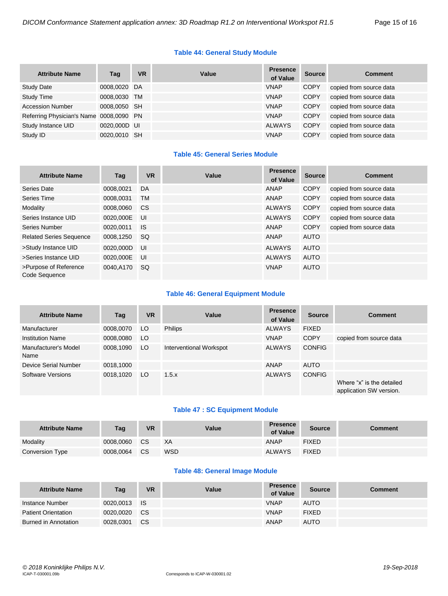#### **Table 44: General Study Module**

| <b>Attribute Name</b>                   | Tag          | <b>VR</b> | Value | <b>Presence</b><br>of Value | <b>Source</b> | <b>Comment</b>          |
|-----------------------------------------|--------------|-----------|-------|-----------------------------|---------------|-------------------------|
| <b>Study Date</b>                       | 0008,0020 DA |           |       | <b>VNAP</b>                 | <b>COPY</b>   | copied from source data |
| <b>Study Time</b>                       | 0008,0030 TM |           |       | <b>VNAP</b>                 | <b>COPY</b>   | copied from source data |
| <b>Accession Number</b>                 | 0008,0050 SH |           |       | <b>VNAP</b>                 | <b>COPY</b>   | copied from source data |
| Referring Physician's Name 0008,0090 PN |              |           |       | <b>VNAP</b>                 | <b>COPY</b>   | copied from source data |
| Study Instance UID                      | 0020,000D UI |           |       | <b>ALWAYS</b>               | <b>COPY</b>   | copied from source data |
| Study ID                                | 0020,0010 SH |           |       | <b>VNAP</b>                 | COPY          | copied from source data |

# **Table 45: General Series Module**

| <b>Attribute Name</b>                  | Tag       | <b>VR</b>     | Value | <b>Presence</b><br>of Value | <b>Source</b> | <b>Comment</b>          |
|----------------------------------------|-----------|---------------|-------|-----------------------------|---------------|-------------------------|
| Series Date                            | 0008.0021 | DA            |       | ANAP                        | <b>COPY</b>   | copied from source data |
| Series Time                            | 0008,0031 | <b>TM</b>     |       | ANAP                        | <b>COPY</b>   | copied from source data |
| Modality                               | 0008,0060 | <sub>CS</sub> |       | <b>ALWAYS</b>               | <b>COPY</b>   | copied from source data |
| Series Instance UID                    | 0020,000E | UI            |       | <b>ALWAYS</b>               | <b>COPY</b>   | copied from source data |
| Series Number                          | 0020.0011 | <b>IS</b>     |       | ANAP                        | <b>COPY</b>   | copied from source data |
| <b>Related Series Sequence</b>         | 0008.1250 | SQ.           |       | ANAP                        | AUTO          |                         |
| >Study Instance UID                    | 0020.000D | UI            |       | <b>ALWAYS</b>               | <b>AUTO</b>   |                         |
| >Series Instance UID                   | 0020.000E | UI            |       | <b>ALWAYS</b>               | <b>AUTO</b>   |                         |
| >Purpose of Reference<br>Code Sequence | 0040.A170 | SQ.           |       | <b>VNAP</b>                 | AUTO          |                         |

# **Table 46: General Equipment Module**

| <b>Attribute Name</b>        | Tag       | <b>VR</b> | Value                   | <b>Presence</b><br>of Value | <b>Source</b> | <b>Comment</b>                                       |
|------------------------------|-----------|-----------|-------------------------|-----------------------------|---------------|------------------------------------------------------|
| Manufacturer                 | 0008,0070 | LO        | <b>Philips</b>          | <b>ALWAYS</b>               | <b>FIXED</b>  |                                                      |
| <b>Institution Name</b>      | 0008,0080 | LO        |                         | <b>VNAP</b>                 | <b>COPY</b>   | copied from source data                              |
| Manufacturer's Model<br>Name | 0008,1090 | LO        | Interventional Workspot | <b>ALWAYS</b>               | <b>CONFIG</b> |                                                      |
| Device Serial Number         | 0018,1000 |           |                         | ANAP                        | <b>AUTO</b>   |                                                      |
| Software Versions            | 0018,1020 | LO        | 1.5.x                   | <b>ALWAYS</b>               | <b>CONFIG</b> | Where "x" is the detailed<br>application SW version. |

# **Table 47 : SC Equipment Module**

| <b>Attribute Name</b> | Tag       | <b>VR</b> | Value      | <b>Presence</b><br>of Value | <b>Source</b> | Comment |
|-----------------------|-----------|-----------|------------|-----------------------------|---------------|---------|
| Modality              | 0008.0060 | <b>CS</b> | XA         | ANAP                        | <b>FIXED</b>  |         |
| Conversion Type       | 0008.0064 | <b>CS</b> | <b>WSD</b> | <b>ALWAYS</b>               | <b>FIXED</b>  |         |

#### **Table 48: General Image Module**

| <b>Attribute Name</b>      | Tag       | VR        | Value | <b>Presence</b><br>of Value | <b>Source</b> | Comment |
|----------------------------|-----------|-----------|-------|-----------------------------|---------------|---------|
| Instance Number            | 0020.0013 | - IS      |       | <b>VNAP</b>                 | <b>AUTO</b>   |         |
| <b>Patient Orientation</b> | 0020.0020 | <b>CS</b> |       | <b>VNAP</b>                 | <b>FIXED</b>  |         |
| Burned in Annotation       | 0028,0301 | <b>CS</b> |       | <b>ANAP</b>                 | <b>AUTO</b>   |         |